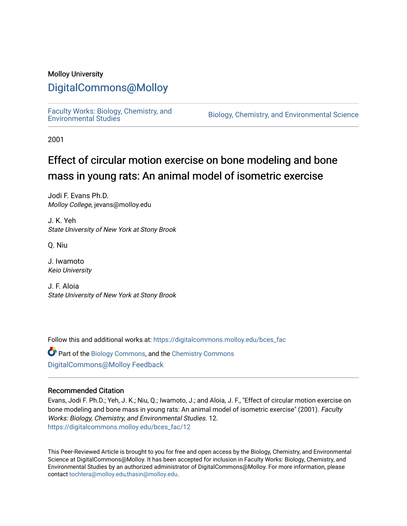## Molloy University

## [DigitalCommons@Molloy](https://digitalcommons.molloy.edu/)

[Faculty Works: Biology, Chemistry, and](https://digitalcommons.molloy.edu/bces_fac) 

Biology, Chemistry, and Environmental Science

2001

# Effect of circular motion exercise on bone modeling and bone mass in young rats: An animal model of isometric exercise

Jodi F. Evans Ph.D. Molloy College, jevans@molloy.edu

J. K. Yeh State University of New York at Stony Brook

Q. Niu

J. Iwamoto Keio University

J. F. Aloia State University of New York at Stony Brook

Follow this and additional works at: [https://digitalcommons.molloy.edu/bces\\_fac](https://digitalcommons.molloy.edu/bces_fac?utm_source=digitalcommons.molloy.edu%2Fbces_fac%2F12&utm_medium=PDF&utm_campaign=PDFCoverPages)

Part of the [Biology Commons,](https://network.bepress.com/hgg/discipline/41?utm_source=digitalcommons.molloy.edu%2Fbces_fac%2F12&utm_medium=PDF&utm_campaign=PDFCoverPages) and the [Chemistry Commons](https://network.bepress.com/hgg/discipline/131?utm_source=digitalcommons.molloy.edu%2Fbces_fac%2F12&utm_medium=PDF&utm_campaign=PDFCoverPages) [DigitalCommons@Molloy Feedback](https://molloy.libwizard.com/f/dcfeedback)

## Recommended Citation

Evans, Jodi F. Ph.D.; Yeh, J. K.; Niu, Q.; Iwamoto, J.; and Aloia, J. F., "Effect of circular motion exercise on bone modeling and bone mass in young rats: An animal model of isometric exercise" (2001). Faculty Works: Biology, Chemistry, and Environmental Studies. 12. [https://digitalcommons.molloy.edu/bces\\_fac/12](https://digitalcommons.molloy.edu/bces_fac/12?utm_source=digitalcommons.molloy.edu%2Fbces_fac%2F12&utm_medium=PDF&utm_campaign=PDFCoverPages) 

This Peer-Reviewed Article is brought to you for free and open access by the Biology, Chemistry, and Environmental Science at DigitalCommons@Molloy. It has been accepted for inclusion in Faculty Works: Biology, Chemistry, and Environmental Studies by an authorized administrator of DigitalCommons@Molloy. For more information, please contact [tochtera@molloy.edu,thasin@molloy.edu.](mailto:tochtera@molloy.edu,thasin@molloy.edu)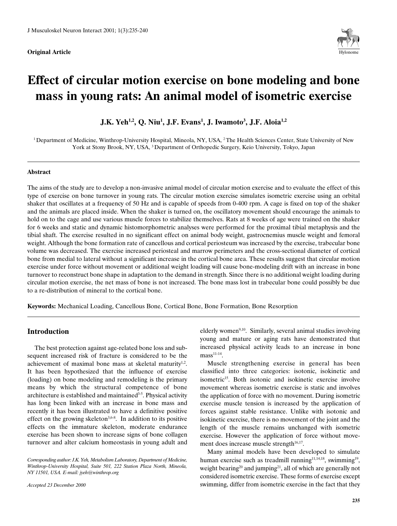**Original Article** 



# **Effect of circular motion exercise on bone modeling and bone mass in young rats: An animal model of isometric exercise**

**J.K. Yeh1,2, Q. Niu1 , J.F. Evans1 , J. Iwamoto3 , J.F. Aloia1,2**

<sup>1</sup> Department of Medicine, Winthrop-University Hospital, Mineola, NY, USA, <sup>2</sup> The Health Sciences Center, State University of New York at Stony Brook, NY, USA, 3 Department of Orthopedic Surgery, Keio University, Tokyo, Japan

#### **Abstract**

The aims of the study are to develop a non-invasive animal model of circular motion exercise and to evaluate the effect of this type of exercise on bone turnover in young rats. The circular motion exercise simulates isometric exercise using an orbital shaker that oscillates at a frequency of 50 Hz and is capable of speeds from 0-400 rpm. A cage is fixed on top of the shaker and the animals are placed inside. When the shaker is turned on, the oscillatory movement should encourage the animals to hold on to the cage and use various muscle forces to stabilize themselves. Rats at 8 weeks of age were trained on the shaker for 6 weeks and static and dynamic histomorphometric analyses were performed for the proximal tibial metaphysis and the tibial shaft. The exercise resulted in no significant effect on animal body weight, gastrocnemius muscle weight and femoral weight. Although the bone formation rate of cancellous and cortical periosteum was increased by the exercise, trabecular bone volume was decreased. The exercise increased periosteal and marrow perimeters and the cross-sectional diameter of cortical bone from medial to lateral without a significant increase in the cortical bone area. These results suggest that circular motion exercise under force without movement or additional weight loading will cause bone-modeling drift with an increase in bone turnover to reconstruct bone shape in adaptation to the demand in strength. Since there is no additional weight loading during circular motion exercise, the net mass of bone is not increased. The bone mass lost in trabecular bone could possibly be due to a re-distribution of mineral to the cortical bone.

**Keywords:** Mechanical Loading, Cancellous Bone, Cortical Bone, Bone Formation, Bone Resorption

### **Introduction**

The best protection against age-related bone loss and subsequent increased risk of fracture is considered to be the achievement of maximal bone mass at skeletal maturity<sup>1,2</sup>. It has been hypothesized that the influence of exercise (loading) on bone modeling and remodeling is the primary means by which the structural competence of bone architecture is established and maintained<sup>3-5</sup>. Physical activity has long been linked with an increase in bone mass and recently it has been illustrated to have a definitive positive effect on the growing skeleton<sup>3,6-8</sup>. In addition to its positive effects on the immature skeleton, moderate endurance exercise has been shown to increase signs of bone collagen turnover and alter calcium homeostasis in young adult and

*Accepted 23 December 2000*

elderly women<sup>9,10</sup>. Similarly, several animal studies involving young and mature or aging rats have demonstrated that increased physical activity leads to an increase in bone  $mass<sup>11-14</sup>$ .

Muscle strengthening exercise in general has been classified into three categories: isotonic, isokinetic and isometric<sup>15</sup>. Both isotonic and isokinetic exercise involve movement whereas isometric exercise is static and involves the application of force with no movement. During isometric exercise muscle tension is increased by the application of forces against stable resistance. Unlike with isotonic and isokinetic exercise, there is no movement of the joint and the length of the muscle remains unchanged with isometric exercise. However the application of force without movement does increase muscle strength $16,17$ .

Many animal models have been developed to simulate human exercise such as treadmill running<sup>11,14,18</sup>, swimming<sup>19</sup>, weight bearing<sup>20</sup> and jumping<sup>21</sup>, all of which are generally not considered isometric exercise. These forms of exercise except swimming, differ from isometric exercise in the fact that they

*Corresponding author: J.K. Yeh, Metabolism Laboratory, Department of Medicine, Winthrop-University Hospital, Suite 501, 222 Station Plaza North, Mineola, NY 11501, USA. E-mail: jyeh@winthrop.org*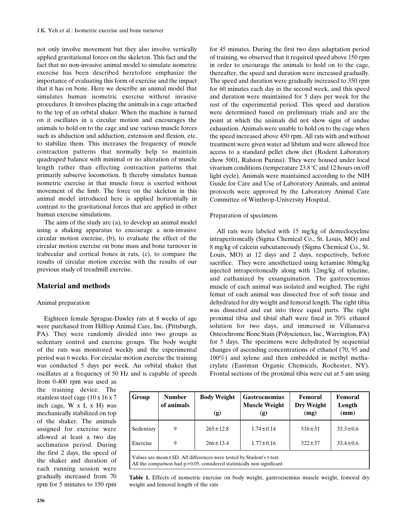not only involve movement but they also involve vertically applied gravitational forces on the skeleton. This fact and the fact that no non-invasive animal model to simulate isometric exercise has been described heretofore emphasize the importance of evaluating this form of exercise and the impact that it has on bone. Here we describe an animal model that simulates human isometric exercise without invasive procedures. It involves placing the animals in a cage attached to the top of an orbital shaker. When the machine is turned on it oscillates in a circular motion and encourages the animals to hold on to the cage and use various muscle forces such as abduction and adduction, extension and flexion, etc. to stabilize them. This increases the frequency of muscle contraction patterns that normally help to maintain quadruped balance with minimal or no alteration of muscle length rather than effecting contraction patterns that primarily subserve locomotion. It thereby simulates human isometric exercise in that muscle force is exerted without movement of the limb. The force on the skeleton in this animal model introduced here is applied horizontally in contrast to the gravitational forces that are applied in other human exercise simulations.

The aims of the study are (a), to develop an animal model using a shaking apparatus to encourage a non-invasive circular motion exercise, (b), to evaluate the effect of the circular motion exercise on bone mass and bone turnover in trabecular and cortical bones in rats, (c), to compare the results of circular motion exercise with the results of our previous study of treadmill exercise.

#### **Material and methods**

#### Animal preparation

Eighteen female Sprague-Dawley rats at 8 weeks of age were purchased from Hilltop Animal Care, Inc. (Pittsburgh, PA). They were randomly divided into two groups as sedentary control and exercise groups. The body weight of the rats was monitored weekly and the experimental period was 6 weeks. For circular motion exercise the training was conducted 5 days per week. An orbital shaker that oscillates at a frequency of 50 Hz and is capable of speeds

the training device. The stainless steel cage (10 x 16 x 7 inch cage, W x L x H) was mechanically stabilized on top of the shaker. The animals assigned for exercise were allowed at least a two day acclimation period. During the first 2 days, the speed of the shaker and duration of each running session were gradually increased from 70 rpm for 5 minutes to 150 rpm

from 0-400 rpm was used as

for 45 minutes. During the first two days adaptation period of training, we observed that it required speed above 150 rpm in order to encourage the animals to hold on to the cage, thereafter, the speed and duration were increased gradually. The speed and duration were gradually increased to 350 rpm for 60 minutes each day in the second week, and this speed and duration were maintained for 5 days per week for the rest of the experimental period. This speed and duration were determined based on preliminary trials and are the point at which the animals did not show signs of undue exhaustion. Animals were unable to hold on to the cage when the speed increased above 450 rpm. All rats with and without treatment were given water ad libitum and were allowed free access to a standard pellet chow diet (Rodent Laboratory chow 5001, Ralston Purina). They were housed under local vivarium conditions (temperature  $23.8\,^{\circ}\mathrm{C}$  and 12 hours on/off light cycle). Animals were maintained according to the NIH Guide for Care and Use of Laboratory Animals, and animal protocols were approved by the Laboratory Animal Care Committee of Winthrop-University Hospital.

#### Preparation of specimens

All rats were labeled with 15 mg/kg of demeclocycline intraperitoneally (Sigma Chemical Co., St. Louis, MO) and 8 mg/kg of calcein subcutaneously (Sigma Chemical Co., St. Louis, MO) at 12 days and 2 days, respectively, before sacrifice. They were anesthetized using ketamine 80mg/kg injected intraperitoneally along with 12mg/kg of xylazine, and euthanized by exsanguination. The gastrocnemius muscle of each animal was isolated and weighed. The right femur of each animal was dissected free of soft tissue and dehydrated for dry weight and femoral length. The right tibia was dissected and cut into three equal parts. The right proximal tibia and tibial shaft were fixed in 70% ethanol solution for two days, and immersed in Villanueva Osteochrome Bone Stain (Polysciences, Inc., Warrington, PA) for 5 days. The specimens were dehydrated by sequential changes of ascending concentrations of ethanol (70, 95 and 100%) and xylene and then embedded in methyl methacrylate (Eastman Organic Chemicals, Rochester, NY). Frontal sections of the proximal tibia were cut at 5 um using

| Group                                                                  | <b>Number</b><br>of animals | <b>Body Weight</b><br>(g) | <b>Gastrocnemius</b><br><b>Muscle Weight</b><br>(g) | Femoral<br>Dry Weight<br>(mg) | Femoral<br>Length<br>(mm) |  |
|------------------------------------------------------------------------|-----------------------------|---------------------------|-----------------------------------------------------|-------------------------------|---------------------------|--|
| Sedentary                                                              | 9                           | $265 \pm 12.8$            | $1.74 \pm 0.14$                                     | $516 \pm 31$                  | $33.3 \pm 0.6$            |  |
| Exercise                                                               | 9                           | $266 \pm 13.4$            | $1.77 \pm 0.16$                                     | $522 \pm 37$                  | $33.4 \pm 0.6$            |  |
| Values are mean ± SD. All differences were tested by Student's t-test. |                             |                           |                                                     |                               |                           |  |

All the comparison had p>0.05, considered statistically non significant

**Table 1.** Effects of isometric exercise on body weight, gastrocnemius muscle weight, femoral dry weight and femoral length of the rats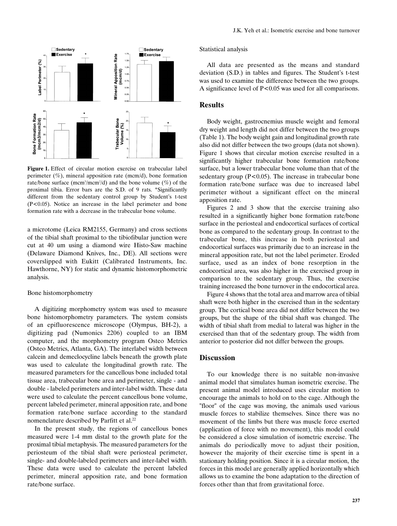

**Figure 1.** Effect of circular motion exercise on trabecular label perimeter  $(\%)$ , mineral apposition rate (mcm/d), bone formation rate/bone surface (mcm<sup>3</sup>/mcm<sup>2</sup>/d) and the bone volume (%) of the proximal tibia. Error bars are the S.D. of 9 rats. \*Significantly different from the sedentary control group by Student's t-test (P<0.05). Notice an increase in the label perimeter and bone formation rate with a decrease in the trabecular bone volume.

a microtome (Leica RM2155, Germany) and cross sections of the tibial shaft proximal to the tibiofibular junction were cut at 40 um using a diamond wire Histo-Saw machine (Delaware Diamond Knives, Inc., DE). All sections were coverslipped with Eukitt (Calibrated Instruments, Inc. Hawthorne, NY) for static and dynamic histomorphometric analysis.

#### Bone histomorphometry

A digitizing morphometry system was used to measure bone histomorphometry parameters. The system consists of an epifluorescence microscope (Olympus, BH-2), a digitizing pad (Numonics 2206) coupled to an IBM computer, and the morphometry program Osteo Metrics (Osteo Metrics, Atlanta, GA). The interlabel width between calcein and demeclocycline labels beneath the growth plate was used to calculate the longitudinal growth rate. The measured parameters for the cancellous bone included total tissue area, trabecular bone area and perimeter, single - and double - labeled perimeters and inter-label width. These data were used to calculate the percent cancellous bone volume, percent labeled perimeter, mineral apposition rate, and bone formation rate/bone surface according to the standard nomenclature described by Parfitt et al.<sup>22</sup>

In the present study, the regions of cancellous bones measured were 1-4 mm distal to the growth plate for the proximal tibial metaphysis. The measured parameters for the periosteum of the tibial shaft were periosteal perimeter, single- and double-labeled perimeters and inter-label width. These data were used to calculate the percent labeled perimeter, mineral apposition rate, and bone formation rate/bone surface.

#### Statistical analysis

All data are presented as the means and standard deviation (S.D.) in tables and figures. The Student's t-test was used to examine the difference between the two groups. A significance level of P<0.05 was used for all comparisons.

### **Results**

Body weight, gastrocnemius muscle weight and femoral dry weight and length did not differ between the two groups (Table 1). The body weight gain and longitudinal growth rate also did not differ between the two groups (data not shown). Figure 1 shows that circular motion exercise resulted in a significantly higher trabecular bone formation rate/bone surface, but a lower trabecular bone volume than that of the sedentary group  $(P<0.05)$ . The increase in trabecular bone formation rate/bone surface was due to increased label perimeter without a significant effect on the mineral apposition rate.

Figures 2 and 3 show that the exercise training also resulted in a significantly higher bone formation rate/bone surface in the periosteal and endocortical surfaces of cortical bone as compared to the sedentary group. In contrast to the trabecular bone, this increase in both periosteal and endocortical surfaces was primarily due to an increase in the mineral apposition rate, but not the label perimeter. Eroded surface, used as an index of bone resorption in the endocortical area, was also higher in the exercised group in comparison to the sedentary group. Thus, the exercise training increased the bone turnover in the endocortical area.

Figure 4 shows that the total area and marrow area of tibial shaft were both higher in the exercised than in the sedentary group. The cortical bone area did not differ between the two groups, but the shape of the tibial shaft was changed. The width of tibial shaft from medial to lateral was higher in the exercised than that of the sedentary group. The width from anterior to posterior did not differ between the groups.

#### **Discussion**

To our knowledge there is no suitable non-invasive animal model that simulates human isometric exercise. The present animal model introduced uses circular motion to encourage the animals to hold on to the cage. Although the "floor" of the cage was moving, the animals used various muscle forces to stabilize themselves. Since there was no movement of the limbs but there was muscle force exerted (application of force with no movement), this model could be considered a close simulation of isometric exercise. The animals do periodically move to adjust their position, however the majority of their exercise time is spent in a stationary holding position. Since it is a circular motion, the forces in this model are generally applied horizontally which allows us to examine the bone adaptation to the direction of forces other than that from gravitational force.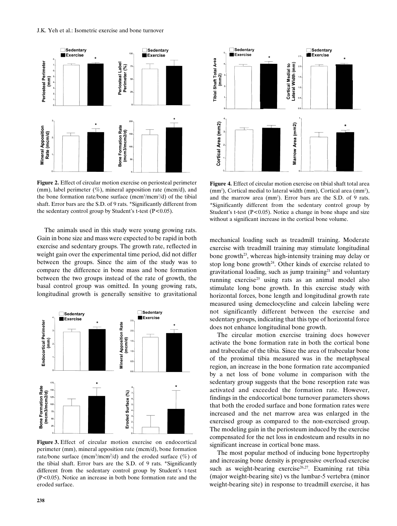

**Figure 2.** Effect of circular motion exercise on periosteal perimeter (mm), label perimeter  $(\%)$ , mineral apposition rate (mcm/d), and the bone formation rate/bone surface (mcm<sup>3</sup>/mcm<sup>2</sup>/d) of the tibial shaft. Error bars are the S.D. of 9 rats. \*Significantly different from the sedentary control group by Student's t-test  $(P<0.05)$ .

The animals used in this study were young growing rats. Gain in bone size and mass were expected to be rapid in both exercise and sedentary groups. The growth rate, reflected in weight gain over the experimental time period, did not differ between the groups. Since the aim of the study was to compare the difference in bone mass and bone formation between the two groups instead of the rate of growth, the basal control group was omitted. In young growing rats, longitudinal growth is generally sensitive to gravitational



**Figure 3.** Effect of circular motion exercise on endocortical perimeter (mm), mineral apposition rate (mcm/d), bone formation rate/bone surface (mcm<sup>3</sup>/mcm<sup>2</sup>/d) and the eroded surface (%) of the tibial shaft. Error bars are the S.D. of 9 rats. \*Significantly different from the sedentary control group by Student's t-test (P<0.05). Notice an increase in both bone formation rate and the eroded surface.



**Figure 4.** Effect of circular motion exercise on tibial shaft total area  $(nm<sup>2</sup>)$ , Cortical medial to lateral width  $(mm)$ , Cortical area  $(mm<sup>2</sup>)$ , and the marrow area  $(mm<sup>2</sup>)$ . Error bars are the S.D. of 9 rats. \*Significantly different from the sedentary control group by Student's t-test  $(P<0.05)$ . Notice a change in bone shape and size without a significant increase in the cortical bone volume.

mechanical loading such as treadmill training. Moderate exercise with treadmill training may stimulate longitudinal bone growth<sup>23</sup>, whereas high-intensity training may delay or stop long bone growth $24$ . Other kinds of exercise related to gravitational loading, such as jump training $21$  and voluntary running exercise<sup>25</sup> using rats as an animal model also stimulate long bone growth. In this exercise study with horizontal forces, bone length and longitudinal growth rate measured using demeclocycline and calcein labeling were not significantly different between the exercise and sedentary groups, indicating that this type of horizontal force does not enhance longitudinal bone growth.

The circular motion exercise training does however activate the bone formation rate in both the cortical bone and trabeculae of the tibia. Since the area of trabecular bone of the proximal tibia measured was in the metaphyseal region, an increase in the bone formation rate accompanied by a net loss of bone volume in comparison with the sedentary group suggests that the bone resorption rate was activated and exceeded the formation rate. However, findings in the endocortical bone turnover parameters shows that both the eroded surface and bone formation rates were increased and the net marrow area was enlarged in the exercised group as compared to the non-exercised group. The modeling gain in the periosteum induced by the exercise compensated for the net loss in endosteum and results in no significant increase in cortical bone mass.

The most popular method of inducing bone hypertrophy and increasing bone density is progressive overload exercise such as weight-bearing exercise<sup>26,27</sup>. Examining rat tibia (major weight-bearing site) vs the lumbar-5 vertebra (minor weight-bearing site) in response to treadmill exercise, it has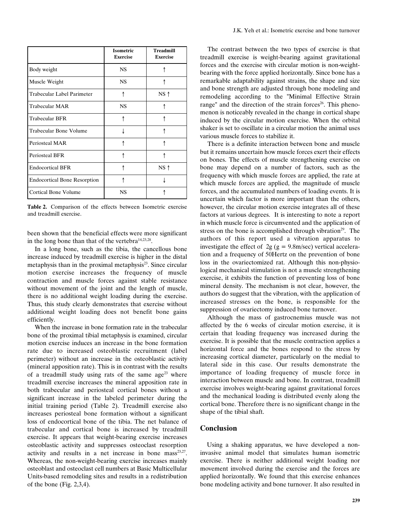|                                     | <b>Isometric</b><br><b>Exercise</b> | <b>Treadmill</b><br><b>Exercise</b> |
|-------------------------------------|-------------------------------------|-------------------------------------|
| Body weight                         | NS                                  |                                     |
| Muscle Weight                       | NS                                  |                                     |
| Trabecular Label Parimeter          | ↑                                   | $NS \uparrow$                       |
| <b>Trabecular MAR</b>               | <b>NS</b>                           |                                     |
| <b>Trabecular BFR</b>               | ٨                                   |                                     |
| Trabecular Bone Volume              |                                     |                                     |
| Periosteal MAR                      |                                     |                                     |
| Periosteal BFR                      |                                     |                                     |
| <b>Endocortical BFR</b>             |                                     | $NS \uparrow$                       |
| <b>Endocortical Bone Resorption</b> |                                     |                                     |
| Cortical Bone Volume                | NS                                  |                                     |

**Table 2.** Comparison of the effects between Isometric exercise and treadmill exercise.

been shown that the beneficial effects were more significant in the long bone than that of the vertebra $14,23,28$ .

In a long bone, such as the tibia, the cancellous bone increase induced by treadmill exercise is higher in the distal metaphysis than in the proximal metaphysis $2<sup>3</sup>$ . Since circular motion exercise increases the frequency of muscle contraction and muscle forces against stable resistance without movement of the joint and the length of muscle, there is no additional weight loading during the exercise. Thus, this study clearly demonstrates that exercise without additional weight loading does not benefit bone gains efficiently.

When the increase in bone formation rate in the trabecular bone of the proximal tibial metaphysis is examined, circular motion exercise induces an increase in the bone formation rate due to increased osteoblastic recruitment (label perimeter) without an increase in the osteoblastic activity (mineral apposition rate). This is in contrast with the results of a treadmill study using rats of the same age<sup>23</sup> where treadmill exercise increases the mineral apposition rate in both trabecular and periosteal cortical bones without a significant increase in the labeled perimeter during the initial training period (Table 2). Treadmill exercise also increases periosteal bone formation without a significant loss of endocortical bone of the tibia. The net balance of trabecular and cortical bone is increased by treadmill exercise. It appears that weight-bearing exercise increases osteoblastic activity and suppresses osteoclast resorption activity and results in a net increase in bone mass $23,27$ . Whereas, the non-weight-bearing exercise increases mainly osteoblast and osteoclast cell numbers at Basic Multicellular Units-based remodeling sites and results in a redistribution of the bone (Fig. 2,3,4).

The contrast between the two types of exercise is that treadmill exercise is weight-bearing against gravitational forces and the exercise with circular motion is non-weightbearing with the force applied horizontally. Since bone has a remarkable adaptability against strains, the shape and size and bone strength are adjusted through bone modeling and remodeling according to the "Minimal Effective Strain range" and the direction of the strain forces<sup>26</sup>. This phenomenon is noticeably revealed in the change in cortical shape induced by the circular motion exercise. When the orbital shaker is set to oscillate in a circular motion the animal uses various muscle forces to stabilize it.

There is a definite interaction between bone and muscle but it remains uncertain how muscle forces exert their effects on bones. The effects of muscle strengthening exercise on bone may depend on a number of factors, such as the frequency with which muscle forces are applied, the rate at which muscle forces are applied, the magnitude of muscle forces, and the accumulated numbers of loading events. It is uncertain which factor is more important than the others, however, the circular motion exercise integrates all of these factors at various degrees. It is interesting to note a report in which muscle force is circumvented and the application of stress on the bone is accomplished through vibration<sup>29</sup>. The authors of this report used a vibration apparatus to investigate the effect of  $2g (g = 9.8 \text{m/sec})$  vertical acceleration and a frequency of 50Hertz on the prevention of bone loss in the ovariectomized rat. Although this non-physiological mechanical stimulation is not a muscle strengthening exercise, it exhibits the function of preventing loss of bone mineral density. The mechanism is not clear, however, the authors do suggest that the vibration, with the application of increased stresses on the bone, is responsible for the suppression of ovariectomy induced bone turnover.

Although the mass of gastrocnemius muscle was not affected by the 6 weeks of circular motion exercise, it is certain that loading frequency was increased during the exercise. It is possible that the muscle contraction applies a horizontal force and the bones respond to the stress by increasing cortical diameter, particularly on the medial to lateral side in this case. Our results demonstrate the importance of loading frequency of muscle force in interaction between muscle and bone. In contrast, treadmill exercise involves weight-bearing against gravitational forces and the mechanical loading is distributed evenly along the cortical bone. Therefore there is no significant change in the shape of the tibial shaft.

### **Conclusion**

Using a shaking apparatus, we have developed a noninvasive animal model that simulates human isometric exercise. There is neither additional weight loading nor movement involved during the exercise and the forces are applied horizontally. We found that this exercise enhances bone modeling activity and bone turnover. It also resulted in